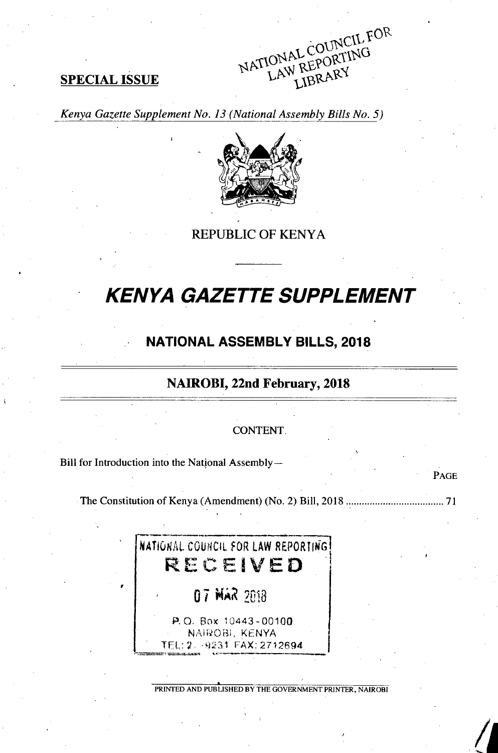NATIONAL COUNCIL FOR LAW REPORTING LIBRARY

## **SPECIAL ISSUE**

Kenya Gazette Supplement No. 13 (National Assembly Bills No. 5)



**REPUBLIC OF KENYA** 

# **KENYA GAZETTE SUPPLEMENT**

# **NATIONAL ASSEMBLY BILLS, 2018**

## NAIROBI, 22nd February, 2018

#### **CONTENT**

PAGE

Bill for Introduction into the National Assembly-



PRINTED AND PUBLISHED BY THE GOVERNMENT PRINTER, NAIROBI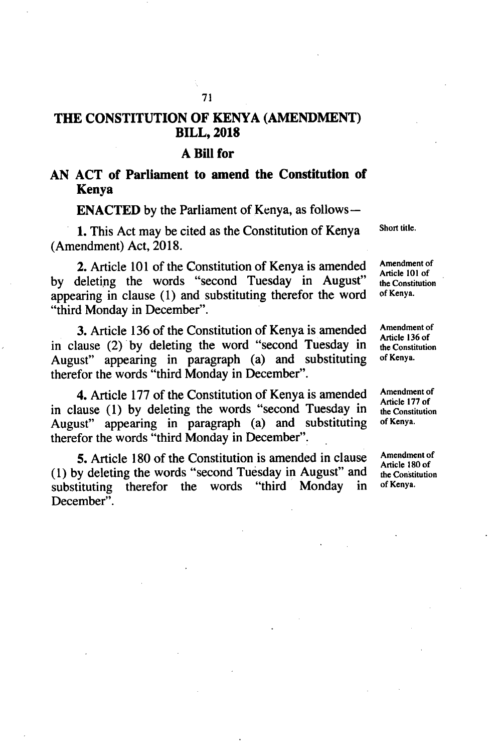## **THE CONSTITUTION OF KENYA (AMENDMENT) BILL, 2018**

#### **A Bill for**

## **AN ACT of Parliament to amend the Constitution of Kenya**

**ENACTED** by the Parliament of Kenya, as follows—

1. This Act may be cited as the Constitution of Kenya Short title. (Amendment) Act, 2018.

2. Article 101 of the Constitution of Kenya is amended Amendment of Article 101 of by deleting the words "second Tuesday in August" the Constitution of Kenya. appearing in clause  $(1)$  and substituting therefor the word "third Monday in December".

3. Article 136 of the Constitution of Kenya is amended Amendment of  $\frac{\text{Amendment of}}{\text{Article 136 of}}$ in clause (2) by deleting the word "second Tuesday in  $\frac{\text{Article 13}}{\text{the Const}}$ August" appearing in paragraph (a) and substituting therefor the words "third Monday in December".

4. Article 177 of the Constitution of Kenya is amended Amendment of Article 177 of in clause  $(1)$  by deleting the words "second Tuesday in August" appearing in paragraph (a) and substituting of Kenya. therefor the words "third Monday in December".

5. Article 180 of the Constitution is amended in clause Amendment of Article 180 of  $(1)$  by deleting the words "second Tuesday in August" and substituting therefor the words "third Monday in of Kenya. December".

the Constitution

the Constitution

the Constitution

the Constitution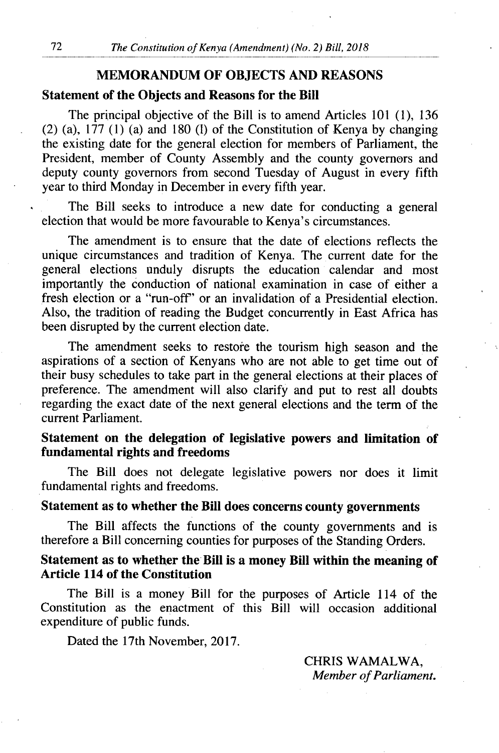## **MEMORANDUM OF OBJECTS AND REASONS**

### **Statement of the Objects and Reasons for the Bill**

The principal objective of the Bill is to amend Articles 101 (1), 136 (2) (a),  $177$  (1) (a) and 180 (l) of the Constitution of Kenya by changing the existing date for the general election for members of Parliament, the President, member of County Assembly and the county governors and deputy county governors from second Tuesday of August in every fifth year to third Monday in December in every fifth year.

The Bill seeks to introduce a new date for conducting a general election that would be more favourable to Kenya's circumstances.

The amendment is to ensure that the date of elections reflects the unique circumstances and tradition of Kenya. The current date for the general elections unduly disrupts the education calendar and most importantly the conduction of national examination in case of either a fresh election or a "run-off" or an invalidation of a Presidential election. Also, the tradition of reading the Budget concurrently in East Africa has been disrupted by the current election date.

The amendment seeks to restore the tourism high season and the aspirations of a section of Kenyans who are not able to get time out of their busy schedules to take part in the general elections at their places of preference. The amendment will also clarify and put to rest all doubts regarding the exact date of the next general elections and the term of the current Parliament.

## **Statement on the delegation of legislative powers and limitation of fundamental rights and freedoms**

The Bill does not delegate legislative powers nor does it limit fundamental rights and freedoms.

#### **Statement as to whether the Bill does concerns county governments**

The Bill affects the functions of the county governments and is therefore a Bill concerning counties for purposes of the Standing Orders.

## **Statement as to whether the Bill is a money Bill within the meaning of Article 114 of the Constitution**

The Bill is a money Bill for the purposes of Article 114 of the Constitution as the enactment of this Bill will occasion additional expenditure of public funds.

Dated the 17th November, 2017.

CHRIS WAMALWA, *Member of Parliament.*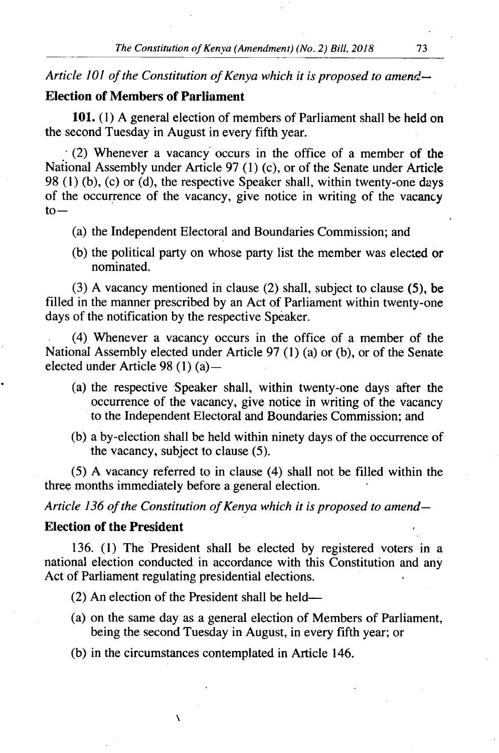*Article 101 of the Constitution of Kenya which it is proposed to amend-*

## **Election of Members of Parliament**

**101.** (1) A general election of members of Parliament shall be held on the second Tuesday in August in every fifth year.

 $(2)$  Whenever a vacancy occurs in the office of a member of the National Assembly under Article 97 (1) (c), or of the Senate under Article 98 (1) (b), (c) or (d), the respective Speaker shall, within twenty-one days of the occurrence of the vacancy, give notice in writing of the vacancy  $to -$ 

- (a) the Independent Electoral and Boundaries Commission; and
- (b) the political party on whose party list the member was elected or nominated.

(3) A vacancy mentioned in clause (2) shall, subject to clause *(5),* be filled in the manner prescribed by an Act of Parliament within twenty-one days of the notification by the respective Speaker.

(4) Whenever a vacancy occurs in the office of a member of the National Assembly elected under Article 97 (1) (a) or (b), or of the Senate elected under Article 98 (1) (a) —

- (a) the respective Speaker shall, within twenty-one days after the occurrence of the vacancy, give notice in writing of the vacancy to the Independent Electoral and Boundaries Commission; and
- a by-election shall be held within ninety days of the occurrence of the vacancy, subject to clause *(5).*

*(5)* A vacancy referred to in clause (4) shall not be filled within the three months immediately before a general election.

*Article 136 of the Constitution of Kenya which it is proposed to amend-*

#### **Election of the President**

136. (1) The President shall be elected by registered voters in a national election conducted in accordance with this Constitution and any Act of Parliament regulating presidential elections.

(2) An election of the President shall be held-

N

- (a) on the same day as a general election of Members of Parliament, being the second Tuesday in August, in every fifth year; or
- (b) in the circumstances contemplated in Article 146.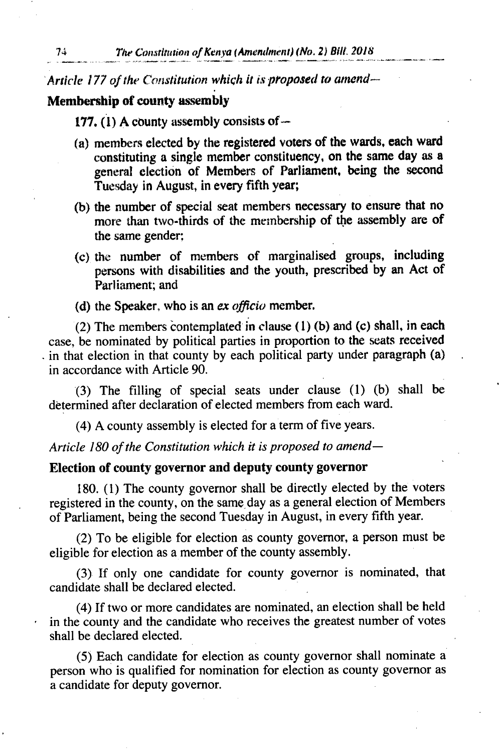Article 177 of *the constitution which it is proposed to amend-*

#### **Membership of county assembly**

**177.** (1) **A** county assembly consists of-

- **members elected by the registered voters of the wards, each ward**  constituting a single member constituency, on the same day as a general election of Members of Parliament, being the second Tuesday in August, in every fifth year;
- (b) the number of special seat members necessary to ensure that no more than two-thirds of the membership of the assembly are of the same gender;
- (c) the number of members of marginalised groups, including persons with disabilities and the youth, prescribed by an Act of Parliament; and
- (d) the Speaker, who is an *ex officio* member.

(2) The members contemplated in clause (1) (b) and (c) shall, in each case, be nominated by political parties in proportion to the seats received in that election in that county by each political party under paragraph (a) in accordance with Article 90.

The filling of special seats under clause (1) (b) shall be determined after declaration of elected members from each ward.

A county assembly is elected for a term of five years.

*Article 180 of the Constitution which it is proposed to amend-*

#### **Election of county governor and deputy county governor**

180. (1) The county governor shall be directly elected by the voters registered in the county, on the same day as a general election of Members of Parliament, being the second Tuesday in August, in every fifth year.

(2) To be eligible for election as county governor, a person must be eligible for election as a member of the county assembly.

If only one candidate for county governor is nominated, that candidate shall be declared elected.

If two or more candidates are nominated, an election shall be held in the county and the candidate who receives the greatest number of votes shall be declared elected.

Each candidate for election as county governor shall nominate a person who is qualified for nomination for election as county governor as a candidate for deputy governor.